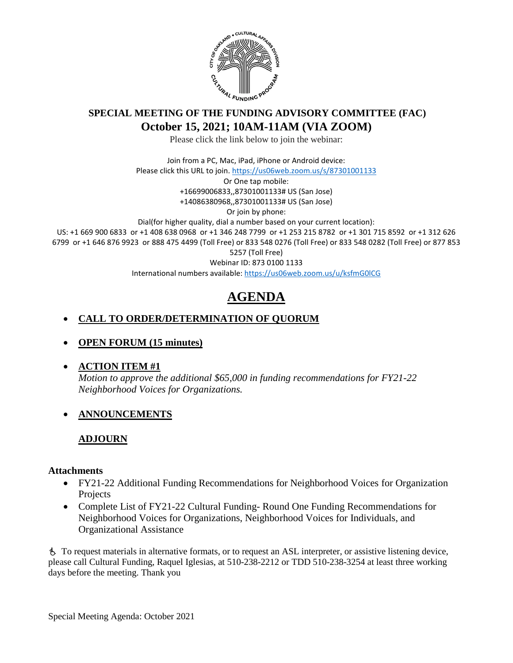

# **SPECIAL MEETING OF THE FUNDING ADVISORY COMMITTEE (FAC) October 15, 2021; 10AM-11AM (VIA ZOOM)**

Please click the link below to join the webinar:

Join from a PC, Mac, iPad, iPhone or Android device: Please click this URL to join.<https://us06web.zoom.us/s/87301001133> Or One tap mobile: +16699006833,,87301001133# US (San Jose) +14086380968,,87301001133# US (San Jose) Or join by phone: Dial(for higher quality, dial a number based on your current location): US: +1 669 900 6833 or +1 408 638 0968 or +1 346 248 7799 or +1 253 215 8782 or +1 301 715 8592 or +1 312 626 6799 or +1 646 876 9923 or 888 475 4499 (Toll Free) or 833 548 0276 (Toll Free) or 833 548 0282 (Toll Free) or 877 853 5257 (Toll Free) Webinar ID: 873 0100 1133 International numbers available:<https://us06web.zoom.us/u/ksfmG0lCG>

# **AGENDA**

## • **CALL TO ORDER/DETERMINATION OF QUORUM**

• **OPEN FORUM (15 minutes)**

#### • **ACTION ITEM #1**

*Motion to approve the additional \$65,000 in funding recommendations for FY21-22 Neighborhood Voices for Organizations.*

## • **ANNOUNCEMENTS**

## **ADJOURN**

#### **Attachments**

- FY21-22 Additional Funding Recommendations for Neighborhood Voices for Organization Projects
- Complete List of FY21-22 Cultural Funding-Round One Funding Recommendations for Neighborhood Voices for Organizations, Neighborhood Voices for Individuals, and Organizational Assistance

 To request materials in alternative formats, or to request an ASL interpreter, or assistive listening device, please call Cultural Funding, Raquel Iglesias, at 510-238-2212 or TDD 510-238-3254 at least three working days before the meeting. Thank you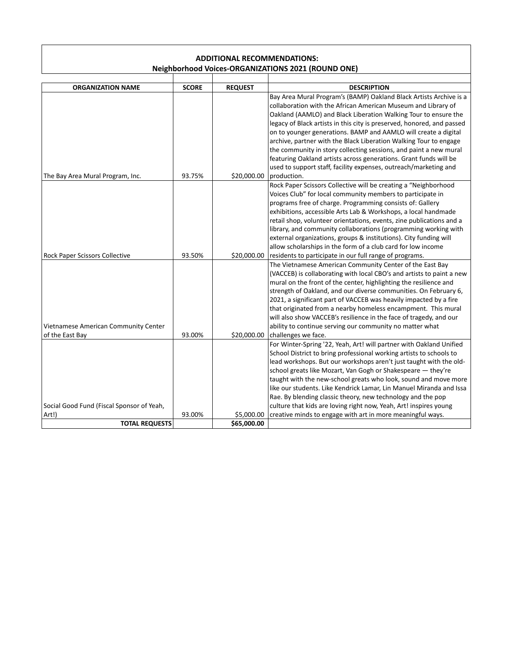#### **ADDITIONAL RECOMMENDATIONS: Neighborhood Voices-ORGANIZATIONS 2021 (ROUND ONE)**

| <b>ORGANIZATION NAME</b>                  | <b>SCORE</b> | <b>REQUEST</b> | <b>DESCRIPTION</b>                                                     |
|-------------------------------------------|--------------|----------------|------------------------------------------------------------------------|
|                                           |              |                | Bay Area Mural Program's (BAMP) Oakland Black Artists Archive is a     |
|                                           |              |                | collaboration with the African American Museum and Library of          |
|                                           |              |                | Oakland (AAMLO) and Black Liberation Walking Tour to ensure the        |
|                                           |              |                | legacy of Black artists in this city is preserved, honored, and passed |
|                                           |              |                | on to younger generations. BAMP and AAMLO will create a digital        |
|                                           |              |                | archive, partner with the Black Liberation Walking Tour to engage      |
|                                           |              |                | the community in story collecting sessions, and paint a new mural      |
|                                           |              |                | featuring Oakland artists across generations. Grant funds will be      |
|                                           |              |                | used to support staff, facility expenses, outreach/marketing and       |
| The Bay Area Mural Program, Inc.          | 93.75%       | \$20,000.00    | production.                                                            |
|                                           |              |                | Rock Paper Scissors Collective will be creating a "Neighborhood        |
|                                           |              |                | Voices Club" for local community members to participate in             |
|                                           |              |                | programs free of charge. Programming consists of: Gallery              |
|                                           |              |                | exhibitions, accessible Arts Lab & Workshops, a local handmade         |
|                                           |              |                | retail shop, volunteer orientations, events, zine publications and a   |
|                                           |              |                | library, and community collaborations (programming working with        |
|                                           |              |                | external organizations, groups & institutions). City funding will      |
|                                           |              |                | allow scholarships in the form of a club card for low income           |
| Rock Paper Scissors Collective            | 93.50%       | \$20,000.00    | residents to participate in our full range of programs.                |
|                                           |              |                | The Vietnamese American Community Center of the East Bay               |
|                                           |              |                | (VACCEB) is collaborating with local CBO's and artists to paint a new  |
|                                           |              |                | mural on the front of the center, highlighting the resilience and      |
|                                           |              |                | strength of Oakland, and our diverse communities. On February 6,       |
|                                           |              |                | 2021, a significant part of VACCEB was heavily impacted by a fire      |
|                                           |              |                | that originated from a nearby homeless encampment. This mural          |
|                                           |              |                | will also show VACCEB's resilience in the face of tragedy, and our     |
| Vietnamese American Community Center      |              |                | ability to continue serving our community no matter what               |
| of the East Bay                           | 93.00%       | \$20,000.00    | challenges we face.                                                    |
|                                           |              |                | For Winter-Spring '22, Yeah, Art! will partner with Oakland Unified    |
|                                           |              |                | School District to bring professional working artists to schools to    |
|                                           |              |                | lead workshops. But our workshops aren't just taught with the old-     |
|                                           |              |                | school greats like Mozart, Van Gogh or Shakespeare - they're           |
|                                           |              |                | taught with the new-school greats who look, sound and move more        |
|                                           |              |                | like our students. Like Kendrick Lamar, Lin Manuel Miranda and Issa    |
|                                           |              |                | Rae. By blending classic theory, new technology and the pop            |
| Social Good Fund (Fiscal Sponsor of Yeah, |              |                | culture that kids are loving right now, Yeah, Art! inspires young      |
| Art!)                                     | 93.00%       | \$5,000.00     | creative minds to engage with art in more meaningful ways.             |
| <b>TOTAL REQUESTS</b>                     |              | \$65,000.00    |                                                                        |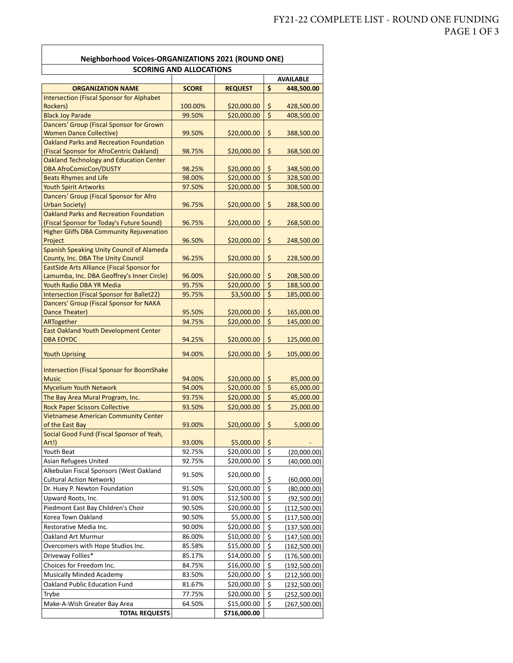$\overline{\phantom{a}}$ 

| <b>Neighborhood Voices-ORGANIZATIONS 2021 (ROUND ONE)</b>                                    |                  |                           |                                      |                              |  |  |  |  |
|----------------------------------------------------------------------------------------------|------------------|---------------------------|--------------------------------------|------------------------------|--|--|--|--|
| <b>SCORING AND ALLOCATIONS</b>                                                               |                  |                           |                                      |                              |  |  |  |  |
|                                                                                              |                  |                           |                                      | <b>AVAILABLE</b>             |  |  |  |  |
| <b>ORGANIZATION NAME</b>                                                                     | <b>SCORE</b>     | <b>REQUEST</b>            | \$                                   | 448,500.00                   |  |  |  |  |
| <b>Intersection (Fiscal Sponsor for Alphabet</b>                                             |                  |                           |                                      |                              |  |  |  |  |
| Rockers)                                                                                     | 100.00%          | \$20,000.00               | \$<br>$\overline{\xi}$               | 428,500.00                   |  |  |  |  |
| <b>Black Joy Parade</b><br>Dancers' Group (Fiscal Sponsor for Grown                          | 99.50%           | \$20,000.00               |                                      | 408,500.00                   |  |  |  |  |
| <b>Women Dance Collective)</b>                                                               | 99.50%           | \$20,000.00               | \$                                   | 388,500.00                   |  |  |  |  |
| <b>Oakland Parks and Recreation Foundation</b>                                               |                  |                           |                                      |                              |  |  |  |  |
| (Fiscal Sponsor for AfroCentric Oakland)                                                     | 98.75%           | \$20,000.00               | \$                                   | 368,500.00                   |  |  |  |  |
| Oakland Technology and Education Center                                                      |                  |                           |                                      |                              |  |  |  |  |
| <b>DBA AfroComicCon/DUSTY</b>                                                                | 98.25%           | \$20,000.00               | \$                                   | 348,500.00                   |  |  |  |  |
| <b>Beats Rhymes and Life</b>                                                                 | 98.00%           | \$20,000.00               | $\overline{\boldsymbol{\zeta}}$      | 328,500.00                   |  |  |  |  |
| <b>Youth Spirit Artworks</b>                                                                 | 97.50%           | \$20,000.00               | $\overline{\xi}$                     | 308,500.00                   |  |  |  |  |
| Dancers' Group (Fiscal Sponsor for Afro                                                      |                  |                           |                                      |                              |  |  |  |  |
| <b>Urban Society)</b>                                                                        | 96.75%           | \$20,000.00               | \$                                   | 288,500.00                   |  |  |  |  |
| <b>Oakland Parks and Recreation Foundation</b>                                               |                  | \$20,000.00               |                                      |                              |  |  |  |  |
| (Fiscal Sponsor for Today's Future Sound)<br><b>Higher Gliffs DBA Community Rejuvenation</b> | 96.75%           |                           | \$                                   | 268,500.00                   |  |  |  |  |
| Project                                                                                      | 96.50%           | \$20,000.00               | \$                                   | 248,500.00                   |  |  |  |  |
| Spanish Speaking Unity Council of Alameda                                                    |                  |                           |                                      |                              |  |  |  |  |
| County, Inc. DBA The Unity Council                                                           | 96.25%           | \$20,000.00               | \$                                   | 228,500.00                   |  |  |  |  |
| EastSide Arts Alliance (Fiscal Sponsor for                                                   |                  |                           |                                      |                              |  |  |  |  |
| Lamumba, Inc. DBA Geoffrey's Inner Circle)                                                   | 96.00%           | \$20,000.00               | \$                                   | 208,500.00                   |  |  |  |  |
| Youth Radio DBA YR Media                                                                     | 95.75%           | \$20,000.00               | $\overline{\boldsymbol{\zeta}}$      | 188,500.00                   |  |  |  |  |
| Intersection (Fiscal Sponsor for Ballet22)                                                   | 95.75%           | \$3,500.00                | \$                                   | 185,000.00                   |  |  |  |  |
| Dancers' Group (Fiscal Sponsor for NAKA                                                      |                  |                           |                                      |                              |  |  |  |  |
| Dance Theater)                                                                               | 95.50%           | \$20,000.00               | \$                                   | 165,000.00                   |  |  |  |  |
| ARTogether                                                                                   | 94.75%           | \$20,000.00               | \$                                   | 145,000.00                   |  |  |  |  |
| East Oakland Youth Development Center<br><b>DBA EOYDC</b>                                    | 94.25%           | \$20,000.00               | \$                                   | 125,000.00                   |  |  |  |  |
|                                                                                              |                  |                           |                                      |                              |  |  |  |  |
| <b>Youth Uprising</b>                                                                        | 94.00%           | \$20,000.00               | \$                                   | 105,000.00                   |  |  |  |  |
| <b>Intersection (Fiscal Sponsor for BoomShake</b>                                            |                  |                           |                                      |                              |  |  |  |  |
| <b>Music</b>                                                                                 | 94.00%           | \$20,000.00               | \$                                   | 85,000.00                    |  |  |  |  |
| <b>Mycelium Youth Network</b>                                                                | 94.00%           | \$20,000.00               | \$                                   | 65,000.00                    |  |  |  |  |
| The Bay Area Mural Program, Inc.                                                             | 93.75%           | \$20,000.00               | \$                                   | 45,000.00                    |  |  |  |  |
| <b>Rock Paper Scissors Collective</b>                                                        | 93.50%           | \$20,000.00               | \$                                   | 25,000.00                    |  |  |  |  |
| <b>Vietnamese American Community Center</b>                                                  |                  |                           |                                      |                              |  |  |  |  |
| of the East Bay                                                                              | 93.00%           | \$20,000.00               | \$                                   | 5,000.00                     |  |  |  |  |
| Social Good Fund (Fiscal Sponsor of Yeah,                                                    |                  |                           |                                      |                              |  |  |  |  |
| Art!)                                                                                        | 93.00%           | \$5,000.00                | \$                                   |                              |  |  |  |  |
| Youth Beat                                                                                   | 92.75%           | \$20,000.00               | \$                                   | (20,000.00)                  |  |  |  |  |
| Asian Refugees United                                                                        | 92.75%           | \$20,000.00               | \$                                   | (40,000.00)                  |  |  |  |  |
| Alkebulan Fiscal Sponsors (West Oakland                                                      | 91.50%           | \$20,000.00               |                                      |                              |  |  |  |  |
| <b>Cultural Action Network)</b>                                                              |                  |                           | \$                                   | (60,000.00)                  |  |  |  |  |
| Dr. Huey P. Newton Foundation                                                                | 91.50%           | \$20,000.00               | \$                                   | (80,000.00)                  |  |  |  |  |
| Upward Roots, Inc.                                                                           | 91.00%           | \$12,500.00               | \$                                   | (92,500.00)                  |  |  |  |  |
| Piedmont East Bay Children's Choir                                                           | 90.50%           | \$20,000.00               | \$                                   | (112,500.00)                 |  |  |  |  |
| Korea Town Oakland<br>Restorative Media Inc.                                                 | 90.50%<br>90.00% | \$5,000.00<br>\$20,000.00 | \$<br>\$                             | (117,500.00)                 |  |  |  |  |
| Oakland Art Murmur                                                                           | 86.00%           | \$10,000.00               | \$                                   | (137,500.00)                 |  |  |  |  |
| Overcomers with Hope Studios Inc.                                                            | 85.58%           | \$15,000.00               | \$                                   | (147,500.00)<br>(162,500.00) |  |  |  |  |
| Driveway Follies*                                                                            | 85.17%           | \$14,000.00               | $\overline{\boldsymbol{\mathsf{S}}}$ | (176,500.00)                 |  |  |  |  |
| Choices for Freedom Inc.                                                                     | 84.75%           | \$16,000.00               | \$                                   | (192,500.00)                 |  |  |  |  |
| <b>Musically Minded Academy</b>                                                              | 83.50%           | \$20,000.00               | \$                                   | (212,500.00)                 |  |  |  |  |
| Oakland Public Education Fund                                                                | 81.67%           | \$20,000.00               | \$                                   | (232,500.00)                 |  |  |  |  |
| Trybe                                                                                        | 77.75%           | \$20,000.00               | \$                                   | (252, 500.00)                |  |  |  |  |
| Make-A-Wish Greater Bay Area                                                                 | 64.50%           | \$15,000.00               | \$                                   | (267, 500.00)                |  |  |  |  |
| <b>TOTAL REQUESTS</b>                                                                        |                  | \$716,000.00              |                                      |                              |  |  |  |  |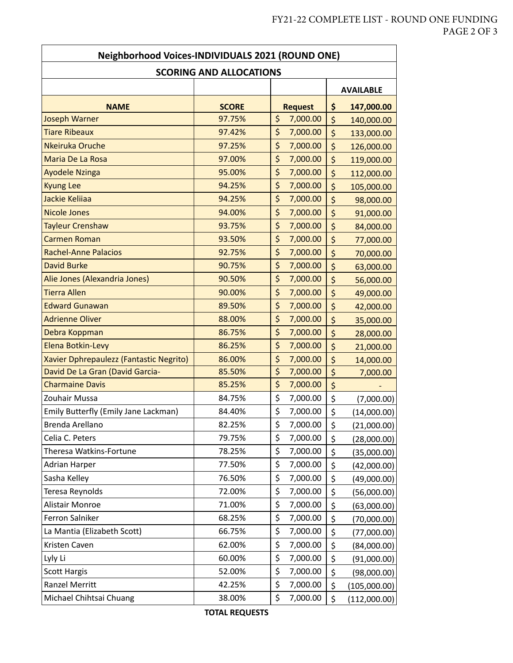$\overline{\phantom{a}}$ 

| <b>Neighborhood Voices-INDIVIDUALS 2021 (ROUND ONE)</b> |                                |                |         |                  |  |
|---------------------------------------------------------|--------------------------------|----------------|---------|------------------|--|
|                                                         | <b>SCORING AND ALLOCATIONS</b> |                |         |                  |  |
|                                                         |                                |                |         | <b>AVAILABLE</b> |  |
| <b>NAME</b>                                             | <b>SCORE</b>                   | <b>Request</b> | \$      | 147,000.00       |  |
| <b>Joseph Warner</b>                                    | 97.75%                         | \$<br>7,000.00 | \$      | 140,000.00       |  |
| <b>Tiare Ribeaux</b>                                    | 97.42%                         | \$<br>7,000.00 | \$      | 133,000.00       |  |
| Nkeiruka Oruche                                         | 97.25%                         | \$<br>7,000.00 | \$      | 126,000.00       |  |
| Maria De La Rosa                                        | 97.00%                         | \$<br>7,000.00 | \$      | 119,000.00       |  |
| <b>Ayodele Nzinga</b>                                   | 95.00%                         | \$<br>7,000.00 | \$      | 112,000.00       |  |
| <b>Kyung Lee</b>                                        | 94.25%                         | \$<br>7,000.00 | \$      | 105,000.00       |  |
| Jackie Keliiaa                                          | 94.25%                         | \$<br>7,000.00 | \$      | 98,000.00        |  |
| <b>Nicole Jones</b>                                     | 94.00%                         | \$<br>7,000.00 | \$      | 91,000.00        |  |
| <b>Tayleur Crenshaw</b>                                 | 93.75%                         | \$<br>7,000.00 | \$      | 84,000.00        |  |
| Carmen Roman                                            | 93.50%                         | \$<br>7,000.00 | \$      | 77,000.00        |  |
| <b>Rachel-Anne Palacios</b>                             | 92.75%                         | \$<br>7,000.00 | \$      | 70,000.00        |  |
| David Burke                                             | 90.75%                         | \$<br>7,000.00 | \$      | 63,000.00        |  |
| Alie Jones (Alexandria Jones)                           | 90.50%                         | \$<br>7,000.00 | \$      | 56,000.00        |  |
| <b>Tierra Allen</b>                                     | 90.00%                         | \$<br>7,000.00 | \$      | 49,000.00        |  |
| <b>Edward Gunawan</b>                                   | 89.50%                         | \$<br>7,000.00 | \$      | 42,000.00        |  |
| <b>Adrienne Oliver</b>                                  | 88.00%                         | \$<br>7,000.00 | \$      | 35,000.00        |  |
| Debra Koppman                                           | 86.75%                         | \$<br>7,000.00 | \$      | 28,000.00        |  |
| Elena Botkin-Levy                                       | 86.25%                         | \$<br>7,000.00 | \$      | 21,000.00        |  |
| Xavier Dphrepaulezz (Fantastic Negrito)                 | 86.00%                         | \$<br>7,000.00 | $\zeta$ | 14,000.00        |  |
| David De La Gran (David Garcia-                         | 85.50%                         | \$<br>7,000.00 | \$      | 7,000.00         |  |
| <b>Charmaine Davis</b>                                  | 85.25%                         | \$<br>7,000.00 | \$      |                  |  |
| Zouhair Mussa                                           | 84.75%                         | \$<br>7,000.00 | \$      | (7,000.00)       |  |
| Emily Butterfly (Emily Jane Lackman)                    | 84.40%                         | \$<br>7,000.00 | \$      | (14,000.00)      |  |
| Brenda Arellano                                         | 82.25%                         | \$<br>7,000.00 | \$      | (21,000.00)      |  |
| Celia C. Peters                                         | 79.75%                         | \$<br>7,000.00 | \$      | (28,000.00)      |  |
| Theresa Watkins-Fortune                                 | 78.25%                         | \$<br>7,000.00 | \$      | (35,000.00)      |  |
| Adrian Harper                                           | 77.50%                         | \$<br>7,000.00 | \$      | (42,000.00)      |  |
| Sasha Kelley                                            | 76.50%                         | \$<br>7,000.00 | \$      | (49,000.00)      |  |
| Teresa Reynolds                                         | 72.00%                         | \$<br>7,000.00 | \$      | (56,000.00)      |  |
| Alistair Monroe                                         | 71.00%                         | \$<br>7,000.00 | \$      | (63,000.00)      |  |
| Ferron Salniker                                         | 68.25%                         | \$<br>7,000.00 | \$      | (70,000.00)      |  |
| La Mantia (Elizabeth Scott)                             | 66.75%                         | \$<br>7,000.00 | \$      | (77,000.00)      |  |
| Kristen Caven                                           | 62.00%                         | \$<br>7,000.00 | \$      | (84,000.00)      |  |
| Lyly Li                                                 | 60.00%                         | \$<br>7,000.00 | \$      | (91,000.00)      |  |
| <b>Scott Hargis</b>                                     | 52.00%                         | \$<br>7,000.00 | \$      | (98,000.00)      |  |
| Ranzel Merritt                                          | 42.25%                         | \$<br>7,000.00 | \$      | (105,000.00)     |  |
| Michael Chihtsai Chuang                                 | 38.00%                         | \$<br>7,000.00 | \$      | (112,000.00)     |  |

Ī